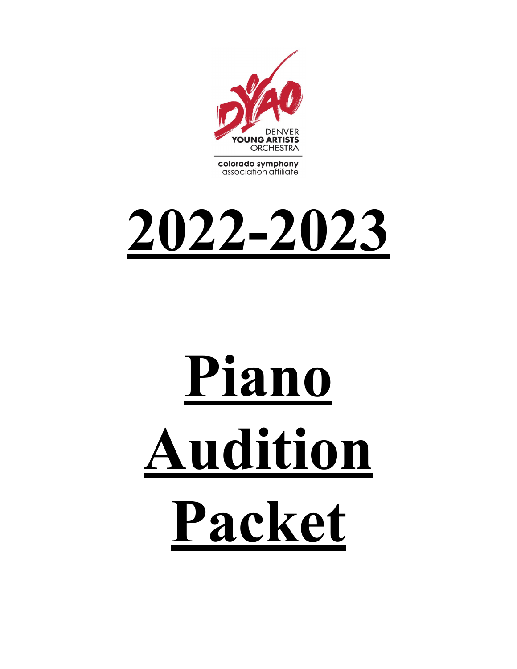

**2022-2023**

# **Piano Audition Packet**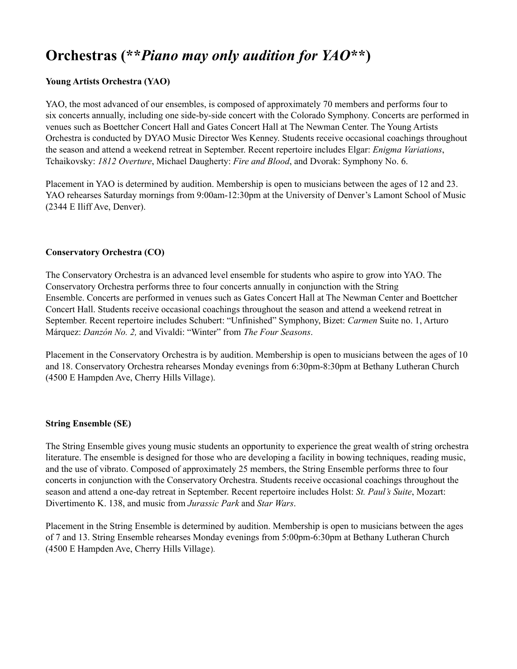### **Orchestras (\*\****Piano may only audition for YAO***\*\*)**

#### **Young Artists Orchestra (YAO)**

YAO, the most advanced of our ensembles, is composed of approximately 70 members and performs four to six concerts annually, including one side-by-side concert with the Colorado Symphony. Concerts are performed in venues such as Boettcher Concert Hall and Gates Concert Hall at The Newman Center. The Young Artists Orchestra is conducted by DYAO Music Director Wes Kenney. Students receive occasional coachings throughout the season and attend a weekend retreat in September. Recent repertoire includes Elgar: *Enigma Variations*, Tchaikovsky: *1812 Overture*, Michael Daugherty: *Fire and Blood*, and Dvorak: Symphony No. 6.

Placement in YAO is determined by audition. Membership is open to musicians between the ages of 12 and 23. YAO rehearses Saturday mornings from 9:00am-12:30pm at the University of Denver's Lamont School of Music (2344 E Iliff Ave, Denver).

#### **Conservatory Orchestra (CO)**

The Conservatory Orchestra is an advanced level ensemble for students who aspire to grow into YAO. The Conservatory Orchestra performs three to four concerts annually in conjunction with the String Ensemble. Concerts are performed in venues such as Gates Concert Hall at The Newman Center and Boettcher Concert Hall. Students receive occasional coachings throughout the season and attend a weekend retreat in September. Recent repertoire includes Schubert: "Unfinished" Symphony, Bizet: *Carmen* Suite no. 1, Arturo Márquez: *Danzón No. 2,* and Vivaldi: "Winter" from *The Four Seasons*.

Placement in the Conservatory Orchestra is by audition. Membership is open to musicians between the ages of 10 and 18. Conservatory Orchestra rehearses Monday evenings from 6:30pm-8:30pm at Bethany Lutheran Church (4500 E Hampden Ave, Cherry Hills Village).

#### **String Ensemble (SE)**

The String Ensemble gives young music students an opportunity to experience the great wealth of string orchestra literature. The ensemble is designed for those who are developing a facility in bowing techniques, reading music, and the use of vibrato. Composed of approximately 25 members, the String Ensemble performs three to four concerts in conjunction with the Conservatory Orchestra. Students receive occasional coachings throughout the season and attend a one-day retreat in September. Recent repertoire includes Holst: *St. Paul's Suite*, Mozart: Divertimento K. 138, and music from *Jurassic Park* and *Star Wars*.

Placement in the String Ensemble is determined by audition. Membership is open to musicians between the ages of 7 and 13. String Ensemble rehearses Monday evenings from 5:00pm-6:30pm at Bethany Lutheran Church (4500 E Hampden Ave, Cherry Hills Village).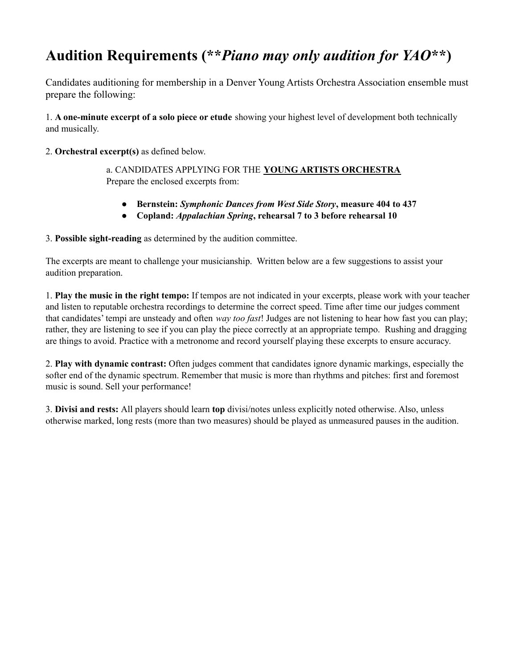## **Audition Requirements (\*\****Piano may only audition for YAO***\*\*)**

Candidates auditioning for membership in a Denver Young Artists Orchestra Association ensemble must prepare the following:

1. **A one-minute excerpt of a solo piece or etude** showing your highest level of development both technically and musically.

2. **Orchestral excerpt(s)** as defined below.

a. CANDIDATES APPLYING FOR THE **YOUNG ARTISTS ORCHESTRA** Prepare the enclosed excerpts from:

- **● Bernstein:** *Symphonic Dances from West Side Story***, measure 404 to 437**
- **● Copland:** *Appalachian Spring***, rehearsal 7 to 3 before rehearsal 10**

3. **Possible sight-reading** as determined by the audition committee.

The excerpts are meant to challenge your musicianship. Written below are a few suggestions to assist your audition preparation.

1. **Play the music in the right tempo:** If tempos are not indicated in your excerpts, please work with your teacher and listen to reputable orchestra recordings to determine the correct speed. Time after time our judges comment that candidates' tempi are unsteady and often *way too fast*! Judges are not listening to hear how fast you can play; rather, they are listening to see if you can play the piece correctly at an appropriate tempo. Rushing and dragging are things to avoid. Practice with a metronome and record yourself playing these excerpts to ensure accuracy.

2. **Play with dynamic contrast:** Often judges comment that candidates ignore dynamic markings, especially the softer end of the dynamic spectrum. Remember that music is more than rhythms and pitches: first and foremost music is sound. Sell your performance!

3. **Divisi and rests:** All players should learn **top** divisi/notes unless explicitly noted otherwise. Also, unless otherwise marked, long rests (more than two measures) should be played as unmeasured pauses in the audition.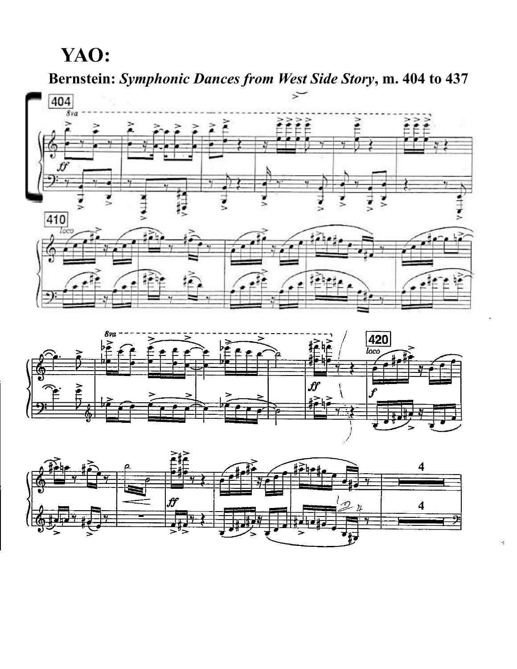# **YAO:**

**Bernstein:** *Symphonic Dances from West Side Story***, m. 404 to 437**







Ą.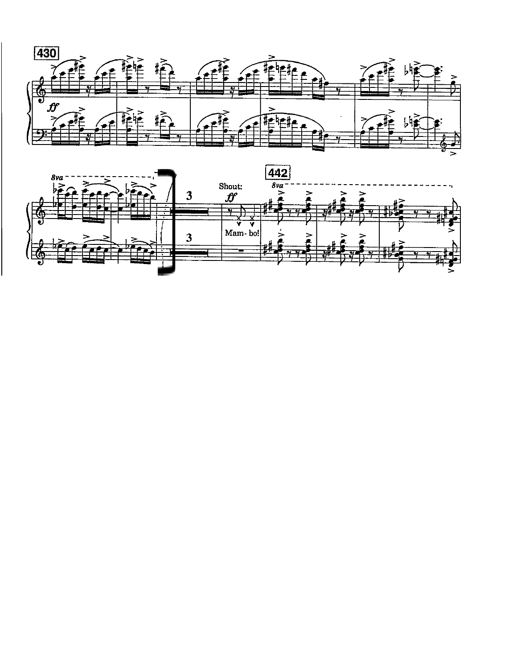